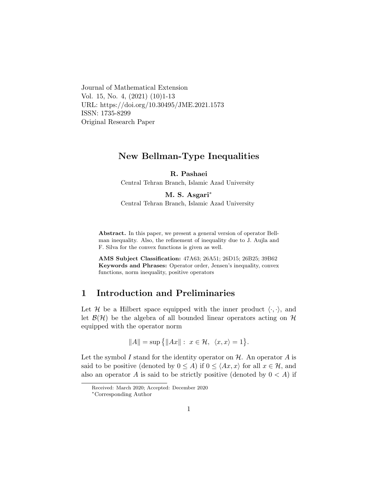Journal of Mathematical Extension Vol. 15, No. 4, (2021) (10)1-13 URL: https://doi.org/10.30495/JME.2021.1573 ISSN: 1735-8299 Original Research Paper

# New Bellman-Type Inequalities

R. Pashaei

Central Tehran Branch, Islamic Azad University

M. S. Asgari<sup>\*</sup>

Central Tehran Branch, Islamic Azad University

Abstract. In this paper, we present a general version of operator Bellman inequality. Also, the refinement of inequality due to J. Aujla and F. Silva for the convex functions is given as well.

AMS Subject Classification: 47A63; 26A51; 26D15; 26B25; 39B62 Keywords and Phrases: Operator order, Jensen's inequality, convex functions, norm inequality, positive operators

# 1 Introduction and Preliminaries

Let H be a Hilbert space equipped with the inner product  $\langle \cdot, \cdot \rangle$ , and let  $\mathcal{B}(\mathcal{H})$  be the algebra of all bounded linear operators acting on  $\mathcal{H}$ equipped with the operator norm

$$
||A|| = \sup\{|Ax||: x \in \mathcal{H}, \langle x, x \rangle = 1\}.
$$

Let the symbol I stand for the identity operator on  $H$ . An operator A is said to be positive (denoted by  $0 \leq A$ ) if  $0 \leq \langle Ax, x \rangle$  for all  $x \in \mathcal{H}$ , and also an operator A is said to be strictly positive (denoted by  $0 < A$ ) if

Received: March 2020; Accepted: December 2020

<span id="page-0-0"></span><sup>∗</sup>Corresponding Author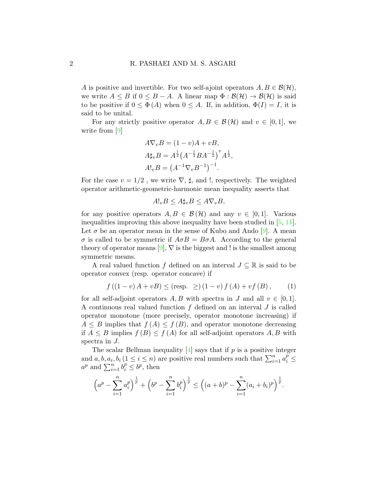A is positive and invertible. For two self-ajoint operators  $A, B \in \mathcal{B}(\mathcal{H}),$ we write  $A \leq B$  if  $0 \leq B - A$ . A linear map  $\Phi : \mathcal{B}(\mathcal{H}) \to \mathcal{B}(\mathcal{H})$  is said to be positive if  $0 \leq \Phi(A)$  when  $0 \leq A$ . If, in addition,  $\Phi(I) = I$ , it is said to be unital.

For any strictly positive operator  $A, B \in \mathcal{B}(\mathcal{H})$  and  $v \in [0, 1]$ , we write from [\[9\]](#page-11-0)

$$
A\nabla_v B = (1 - v)A + vB,
$$
  
\n
$$
A^{\dagger}_{\nu}B = A^{\frac{1}{2}}(A^{-\frac{1}{2}}BA^{-\frac{1}{2}})^{v}A^{\frac{1}{2}},
$$
  
\n
$$
A!_vB = (A^{-1}\nabla_v B^{-1})^{-1}.
$$

For the case  $v = 1/2$ , we write  $\nabla$ ,  $\sharp$ , and !, respectively. The weighted operator arithmetic-geometric-harmonic mean inequality asserts that

$$
A!_v B \le A \sharp_v B \le A \nabla_v B,
$$

for any positive operators  $A, B \in \mathcal{B}(\mathcal{H})$  and any  $v \in [0, 1]$ . Various inequalities improving this above inequality have been studied in [\[5,](#page-10-0) [11\]](#page-11-1). Let  $\sigma$  be an operator mean in the sense of Kubo and Ando [\[9\]](#page-11-0). A mean  $\sigma$  is called to be symmetric if  $A \sigma B = B \sigma A$ . According to the general theory of operator means  $[9]$ ,  $\nabla$  is the biggest and ! is the smallest among symmetric means.

A real valued function f defined on an interval  $J \subseteq \mathbb{R}$  is said to be operator convex (resp. operator concave) if

<span id="page-1-0"></span>
$$
f ((1 - v) A + v B) \leq (resp. \geq) (1 - v) f (A) + v f (B), \qquad (1)
$$

for all self-adjoint operators A, B with spectra in J and all  $v \in [0, 1]$ . A continuous real valued function  $f$  defined on an interval  $J$  is called operator monotone (more precisely, operator monotone increasing) if  $A \leq B$  implies that  $f(A) \leq f(B)$ , and operator monotone decreasing if  $A \leq B$  implies  $f(B) \leq f(A)$  for all self-adjoint operators A, B with spectra in J.

The scalar Bellman inequality  $[4]$  says that if p is a positive integer and  $a, b, a_i, b_i$   $(1 \leq i \leq n)$  are positive real numbers such that  $\sum_{i=1}^n a_i^p \leq$  $a^p$  and  $\sum_{i=1}^n b_i^p \leq b^p$ , then

$$
\left(a^p - \sum_{i=1}^n a_i^p\right)^{\frac{1}{p}} + \left(b^p - \sum_{i=1}^n b_i^p\right)^{\frac{1}{p}} \le \left((a+b)^p - \sum_{i=1}^n (a_i + b_i)^p\right)^{\frac{1}{p}}.
$$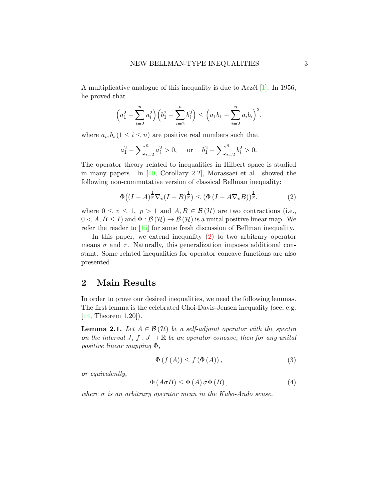A multiplicative analogue of this inequality is due to Acz $\ell$ l [\[1\]](#page-10-2). In 1956, he proved that

$$
\left(a_1^2 - \sum_{i=2}^n a_i^2\right) \left(b_1^2 - \sum_{i=2}^n b_i^2\right) \le \left(a_1b_1 - \sum_{i=2}^n a_ib_i\right)^2,
$$

where  $a_i, b_i$   $(1 \leq i \leq n)$  are positive real numbers such that

$$
a_1^2 - \sum_{i=2}^n a_i^2 > 0
$$
, or  $b_1^2 - \sum_{i=2}^n b_i^2 > 0$ .

The operator theory related to inequalities in Hilbert space is studied in many papers. In [\[10,](#page-11-2) Corollary 2.2], Morassaei et al. showed the following non-commutative version of classical Bellman inequality:

<span id="page-2-0"></span>
$$
\Phi\big((I-A)^{\frac{1}{p}}\nabla_v(I-B)^{\frac{1}{p}}\big) \leq \left(\Phi\left(I-A\nabla_vB\right)\right)^{\frac{1}{p}},\tag{2}
$$

where  $0 \le v \le 1$ ,  $p > 1$  and  $A, B \in \mathcal{B}(\mathcal{H})$  are two contractions (i.e.,  $0 < A, B \leq I$  and  $\Phi : \mathcal{B}(\mathcal{H}) \to \mathcal{B}(\mathcal{H})$  is a unital positive linear map. We refer the reader to [\[15\]](#page-11-3) for some fresh discussion of Bellman inequality.

In this paper, we extend inequality [\(2\)](#page-2-0) to two arbitrary operator means  $\sigma$  and  $\tau$ . Naturally, this generalization imposes additional constant. Some related inequalities for operator concave functions are also presented.

## 2 Main Results

In order to prove our desired inequalities, we need the following lemmas. The first lemma is the celebrated Choi-Davis-Jensen inequality (see, e.g. [\[14,](#page-11-4) Theorem 1.20]).

**Lemma 2.1.** Let  $A \in \mathcal{B}(\mathcal{H})$  be a self-adjoint operator with the spectra on the interval  $J, f : J \to \mathbb{R}$  be an operator concave, then for any unital positive linear mapping Φ,

<span id="page-2-1"></span>
$$
\Phi\left(f\left(A\right)\right) \le f\left(\Phi\left(A\right)\right),\tag{3}
$$

or equivalently,

<span id="page-2-2"></span>
$$
\Phi(A \sigma B) \le \Phi(A) \sigma \Phi(B), \qquad (4)
$$

where  $\sigma$  is an arbitrary operator mean in the Kubo-Ando sense.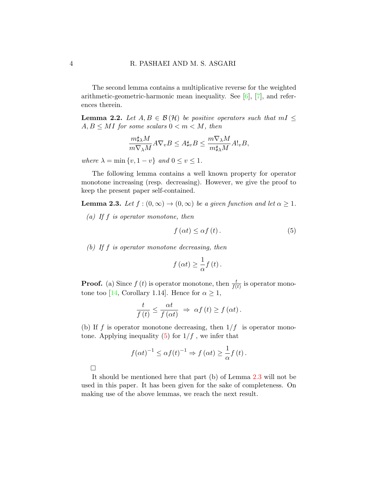The second lemma contains a multiplicative reverse for the weighted arithmetic-geometric-harmonic mean inequality. See [\[6\]](#page-10-3), [\[7\]](#page-10-4), and references therein.

<span id="page-3-2"></span>**Lemma 2.2.** Let  $A, B \in \mathcal{B}(\mathcal{H})$  be positive operators such that  $mI \leq$  $A, B \leq MI$  for some scalars  $0 < m < M$ , then

$$
\frac{m\sharp_\lambda M}{m\nabla_\lambda M}A\nabla_v B\leq A\sharp_v B\leq \frac{m\nabla_\lambda M}{m\sharp_\lambda M}A!_v B,
$$

where  $\lambda = \min \{v, 1 - v\}$  and  $0 \le v \le 1$ .

The following lemma contains a well known property for operator monotone increasing (resp. decreasing). However, we give the proof to keep the present paper self-contained.

<span id="page-3-1"></span>**Lemma 2.3.** Let  $f : (0, \infty) \to (0, \infty)$  be a given function and let  $\alpha \geq 1$ .

(a) If  $f$  is operator monotone, then

<span id="page-3-0"></span>
$$
f\left(\alpha t\right) \leq \alpha f\left(t\right). \tag{5}
$$

(b) If  $f$  is operator monotone decreasing, then

$$
f\left(\alpha t\right) \geq \frac{1}{\alpha}f\left(t\right).
$$

**Proof.** (a) Since  $f(t)$  is operator monotone, then  $\frac{t}{f(t)}$  is operator mono-tone too [\[14,](#page-11-4) Corollary 1.14]. Hence for  $\alpha \geq 1$ ,

$$
\frac{t}{f(t)} \leq \frac{\alpha t}{f(\alpha t)} \Rightarrow \alpha f(t) \geq f(\alpha t).
$$

(b) If f is operator monotone decreasing, then  $1/f$  is operator monotone. Applying inequality  $(5)$  for  $1/f$ , we infer that

$$
f(\alpha t)^{-1} \leq \alpha f(t)^{-1} \Rightarrow f(\alpha t) \geq \frac{1}{\alpha} f(t).
$$

It should be mentioned here that part (b) of Lemma [2.3](#page-3-1) will not be used in this paper. It has been given for the sake of completeness. On making use of the above lemmas, we reach the next result.

 $\Box$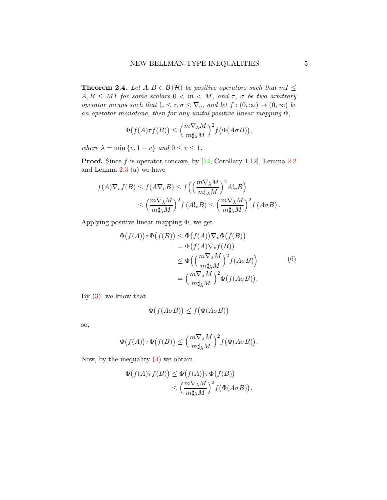<span id="page-4-0"></span>**Theorem 2.4.** Let  $A, B \in \mathcal{B}(\mathcal{H})$  be positive operators such that  $mI \leq$  $A, B \leq MI$  for some scalars  $0 < m < M$ , and  $\tau$ ,  $\sigma$  be two arbitrary operator means such that  $!_v \leq \tau, \sigma \leq \nabla_v$ , and let  $f : (0, \infty) \to (0, \infty)$  be an operator monotone, then for any unital positive linear mapping  $\Phi$ ,

$$
\Phi\big(f(A)\tau f(B)\big) \le \left(\frac{m\nabla_{\lambda}M}{m\sharp_{\lambda}M}\right)^2 f\big(\Phi(A\sigma B)\big),
$$

where  $\lambda = \min \{v, 1 - v\}$  and  $0 \le v \le 1$ .

**Proof.** Since f is operator concave, by  $[14, Corollary 1.12]$  $[14, Corollary 1.12]$ , Lemma [2.2](#page-3-2) and Lemma [2.3](#page-3-1) (a) we have

$$
f(A)\nabla_v f(B) \le f(A\nabla_v B) \le f\left(\left(\frac{m\nabla_\lambda M}{m\sharp_\lambda M}\right)^2 A!_v B\right)
$$
  
 
$$
\le \left(\frac{m\nabla_\lambda M}{m\sharp_\lambda M}\right)^2 f(A!_v B) \le \left(\frac{m\nabla_\lambda M}{m\sharp_\lambda M}\right)^2 f(A\sigma B).
$$

Applying positive linear mapping Φ, we get

$$
\Phi(f(A))\tau\Phi(f(B)) \leq \Phi(f(A))\nabla_v\Phi(f(B))
$$
  
\n
$$
= \Phi(f(A)\nabla_v f(B))
$$
  
\n
$$
\leq \Phi\left(\left(\frac{m\nabla_\lambda M}{m\sharp_\lambda M}\right)^2 f(A\sigma B)\right)
$$
  
\n
$$
= \left(\frac{m\nabla_\lambda M}{m\sharp_\lambda M}\right)^2 \Phi(f(A\sigma B)).
$$
\n(6)

By [\(3\)](#page-2-1), we know that

$$
\Phi(f(A \sigma B)) \le f(\Phi(A \sigma B))
$$

so,

$$
\Phi(f(A))\tau\Phi(f(B)) \leq \left(\frac{m\nabla_{\lambda}M}{m\sharp_{\lambda}M}\right)^2 f(\Phi(A\sigma B)).
$$

Now, by the inequality  $(4)$  we obtain

$$
\Phi(f(A)\tau f(B)) \leq \Phi(f(A))\tau\Phi(f(B))
$$
  

$$
\leq \left(\frac{m\nabla_{\lambda}M}{m\sharp_{\lambda}M}\right)^{2}f(\Phi(A\sigma B)).
$$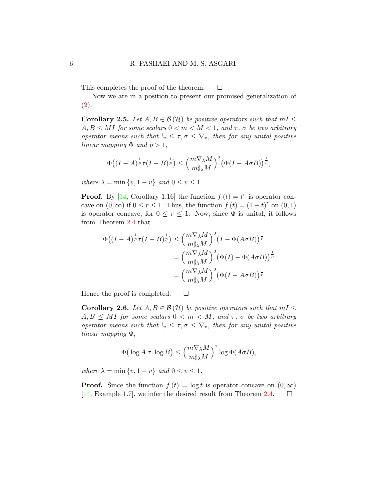This completes the proof of the theorem.  $\square$ 

Now we are in a position to present our promised generalization of  $(2).$  $(2).$ 

**Corollary 2.5.** Let  $A, B \in \mathcal{B}(\mathcal{H})$  be positive operators such that  $mI \leq$  $A, B \leq MI$  for some scalars  $0 < m < M < 1$ , and  $\tau$ ,  $\sigma$  be two arbitrary operator means such that  $!_v \leq \tau, \sigma \leq \nabla_v$ , then for any unital positive linear mapping  $\Phi$  and  $p > 1$ ,

$$
\Phi\big((I-A)^{\frac{1}{p}}\tau(I-B)^{\frac{1}{p}}\big)\leq \Big(\frac{m\nabla_{\lambda}M}{m\sharp_{\lambda}M}\Big)^2\big(\Phi(I-A\sigma B)\big)^{\frac{1}{p}},
$$

where  $\lambda = \min \{v, 1 - v\}$  and  $0 \le v \le 1$ .

**Proof.** By [\[14,](#page-11-4) Corollary 1.16] the function  $f(t) = t^r$  is operator concave on  $(0, \infty)$  if  $0 \le r \le 1$ . Thus, the function  $f(t) = (1-t)^r$  on  $(0, 1)$ is operator concave, for  $0 \leq r \leq 1$ . Now, since  $\Phi$  is unital, it follows from Theorem [2.4](#page-4-0) that

$$
\Phi\left((I-A)^{\frac{1}{p}}\tau(I-B)^{\frac{1}{p}}\right) \leq \left(\frac{m\nabla_{\lambda}M}{m\sharp_{\lambda}M}\right)^{2}\left(I-\Phi(A\sigma B)\right)^{\frac{1}{p}}\n= \left(\frac{m\nabla_{\lambda}M}{m\sharp_{\lambda}M}\right)^{2}\left(\Phi(I)-\Phi(A\sigma B)\right)^{\frac{1}{p}}\n= \left(\frac{m\nabla_{\lambda}M}{m\sharp_{\lambda}M}\right)^{2}\left(\Phi(I-A\sigma B)\right)^{\frac{1}{p}}.
$$

Hence the proof is completed.  $\square$ 

**Corollary 2.6.** Let  $A, B \in \mathcal{B}(\mathcal{H})$  be positive operators such that  $mI \leq$  $A, B \leq MI$  for some scalars  $0 < m < M$ , and  $\tau$ ,  $\sigma$  be two arbitrary operator means such that  $!_v \leq \tau, \sigma \leq \nabla_v$ , then for any unital positive linear mapping Φ,

$$
\Phi\big(\log A~\tau~\log B\big)\leq \Big(\frac{m\nabla_\lambda M}{m\sharp_\lambda M}\Big)^2\log \Phi(A\sigma B),
$$

where  $\lambda = \min \{v, 1 - v\}$  and  $0 \le v \le 1$ .

**Proof.** Since the function  $f(t) = \log t$  is operator concave on  $(0, \infty)$ [\[14,](#page-11-4) Example 1.7], we infer the desired result from Theorem [2.4.](#page-4-0)  $\Box$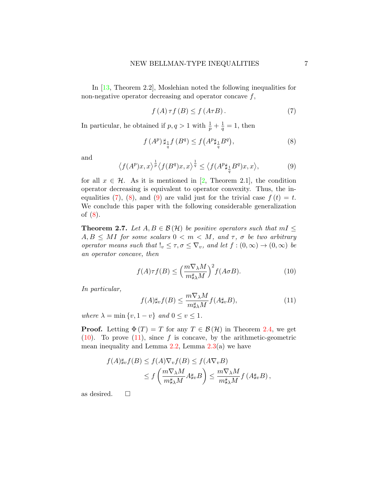In [\[13,](#page-11-5) Theorem 2.2], Moslehian noted the following inequalities for non-negative operator decreasing and operator concave  $f$ ,

<span id="page-6-0"></span>
$$
f(A)\tau f(B) \le f(A\tau B). \tag{7}
$$

In particular, he obtained if  $p, q > 1$  with  $\frac{1}{p} + \frac{1}{q} = 1$ , then

<span id="page-6-1"></span>
$$
f(A^p) \sharp_{\frac{1}{q}} f(B^q) \le f\big(A^p \sharp_{\frac{1}{q}} B^q\big),\tag{8}
$$

and

<span id="page-6-2"></span>
$$
\left\langle f(A^p)x, x \right\rangle^{\frac{1}{p}} \left\langle f(B^q)x, x \right\rangle^{\frac{1}{q}} \le \left\langle f(A^p \sharp_{\frac{1}{q}} B^q)x, x \right\rangle, \tag{9}
$$

for all  $x \in \mathcal{H}$ . As it is mentioned in [\[2,](#page-10-5) Theorem 2.1], the condition operator decreasing is equivalent to operator convexity. Thus, the in-equalities [\(7\)](#page-6-0), [\(8\)](#page-6-1), and [\(9\)](#page-6-2) are valid just for the trivial case  $f(t) = t$ . We conclude this paper with the following considerable generalization of [\(8\)](#page-6-1).

<span id="page-6-5"></span>**Theorem 2.7.** Let  $A, B \in \mathcal{B}(\mathcal{H})$  be positive operators such that  $mI \leq$  $A, B \leq MI$  for some scalars  $0 < m < M$ , and  $\tau$ ,  $\sigma$  be two arbitrary operator means such that  $!_v \leq \tau, \sigma \leq \nabla_v$ , and let  $f : (0, \infty) \to (0, \infty)$  be an operator concave, then

<span id="page-6-3"></span>
$$
f(A)\tau f(B) \le \left(\frac{m\nabla_{\lambda}M}{m\sharp_{\lambda}M}\right)^2 f(A\sigma B). \tag{10}
$$

In particular,

<span id="page-6-4"></span>
$$
f(A)\sharp_v f(B) \le \frac{m\nabla_\lambda M}{m\sharp_\lambda M} f(A\sharp_v B),\tag{11}
$$

where  $\lambda = \min \{v, 1 - v\}$  and  $0 \le v \le 1$ .

**Proof.** Letting  $\Phi(T) = T$  for any  $T \in \mathcal{B}(\mathcal{H})$  in Theorem [2.4,](#page-4-0) we get  $(10)$ . To prove  $(11)$ , since f is concave, by the arithmetic-geometric mean inequality and Lemma  $2.2$ , Lemma  $2.3(a)$  $2.3(a)$  we have

$$
f(A)\sharp_v f(B) \le f(A)\nabla_v f(B) \le f(A\nabla_v B)
$$
  
 
$$
\le f\left(\frac{m\nabla_\lambda M}{m\sharp_\lambda M}A\sharp_v B\right) \le \frac{m\nabla_\lambda M}{m\sharp_\lambda M}f(A\sharp_v B),
$$

as desired.  $\square$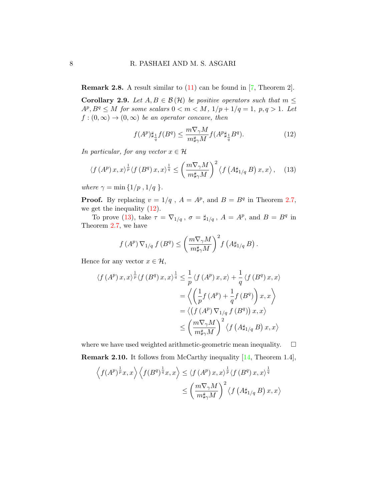**Remark 2.8.** A result similar to  $(11)$  can be found in [\[7,](#page-10-4) Theorem 2].

**Corollary 2.9.** Let  $A, B \in \mathcal{B}(\mathcal{H})$  be positive operators such that  $m \leq$  $A^p, B^q \leq M$  for some scalars  $0 < m < M$ ,  $1/p + 1/q = 1$ ,  $p, q > 1$ . Let  $f:(0,\infty)\to(0,\infty)$  be an operator concave, then

<span id="page-7-0"></span>
$$
f(A^p) \sharp_{\frac{1}{q}} f(B^q) \le \frac{m \nabla_\gamma M}{m \sharp_\gamma M} f(A^p \sharp_{\frac{1}{q}} B^q). \tag{12}
$$

In particular, for any vector  $x \in \mathcal{H}$ 

<span id="page-7-1"></span>
$$
\langle f(A^p)x,x\rangle^{\frac{1}{p}}\langle f(B^q)x,x\rangle^{\frac{1}{q}} \leq \left(\frac{m\nabla_\gamma M}{m\sharp_\gamma M}\right)^2 \langle f(A\sharp_{1/q} B)x,x\rangle, \quad (13)
$$

where  $\gamma = \min\{1/p, 1/q\}.$ 

**Proof.** By replacing  $v = 1/q$ ,  $A = A^p$ , and  $B = B^q$  in Theorem [2.7,](#page-6-5) we get the inequality [\(12\)](#page-7-0).

To prove [\(13\)](#page-7-1), take  $\tau = \nabla_{1/q}$ ,  $\sigma = \sharp_{1/q}$ ,  $A = A^p$ , and  $B = B^q$  in Theorem [2.7,](#page-6-5) we have

$$
f(A^p) \nabla_{1/q} f(B^q) \leq \left(\frac{m \nabla_\gamma M}{m \sharp_\gamma M}\right)^2 f\left(A \sharp_{1/q} B\right).
$$

Hence for any vector  $x \in \mathcal{H}$ ,

$$
\langle f(A^p) x, x \rangle^{\frac{1}{p}} \langle f(B^q) x, x \rangle^{\frac{1}{q}} \leq \frac{1}{p} \langle f(A^p) x, x \rangle + \frac{1}{q} \langle f(B^q) x, x \rangle
$$
  

$$
= \left\langle \left( \frac{1}{p} f(A^p) + \frac{1}{q} f(B^q) \right) x, x \right\rangle
$$
  

$$
= \left\langle \left( f(A^p) \nabla_{1/q} f(B^q) \right) x, x \right\rangle
$$
  

$$
\leq \left( \frac{m \nabla_{\gamma} M}{m \sharp_{\gamma} M} \right)^2 \langle f(A \sharp_{1/q} B) x, x \rangle
$$

where we have used weighted arithmetic-geometric mean inequality.  $\square$ 

Remark 2.10. It follows from McCarthy inequality [\[14,](#page-11-4) Theorem 1.4],

$$
\left\langle f(A^p)^{\frac{1}{p}} x, x \right\rangle \left\langle f(B^q)^{\frac{1}{q}} x, x \right\rangle \leq \left\langle f(A^p) x, x \right\rangle^{\frac{1}{p}} \left\langle f(B^q) x, x \right\rangle^{\frac{1}{q}}
$$

$$
\leq \left( \frac{m \nabla_\gamma M}{m \sharp_\gamma M} \right)^2 \left\langle f(A \sharp_{1/q} B) x, x \right\rangle
$$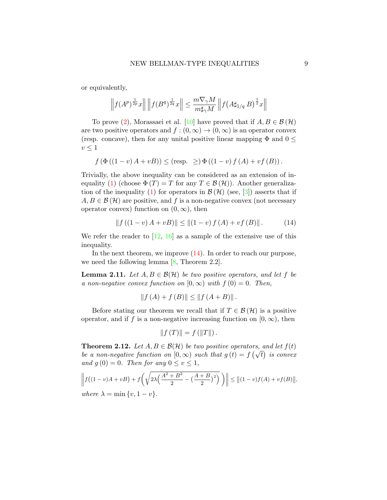or equivalently,

$$
\left\|f(A^p)^{\frac{1}{2p}}x\right\|\left\|f(B^q)^{\frac{1}{2q}}x\right\|\leq \frac{m\nabla_\gamma M}{m\sharp_\gamma M}\left\|f\big(A\sharp_{1/q}\,B\big)^{\frac{1}{2}}x\right\|
$$

To prove [\(2\)](#page-2-0), Morassaei et al. [\[10\]](#page-11-2) have proved that if  $A, B \in \mathcal{B}(\mathcal{H})$ are two positive operators and  $f:(0,\infty) \to (0,\infty)$  is an operator convex (resp. concave), then for any unital positive linear mapping  $\Phi$  and  $0 \leq$  $v \leq 1$ 

$$
f(\Phi((1-v)A+vB)) \leq (resp. \geq) \Phi((1-v) f(A) + vf(B)).
$$

Trivially, the above inequality can be considered as an extension of in-equality [\(1\)](#page-1-0) (choose  $\Phi(T) = T$  for any  $T \in \mathcal{B}(\mathcal{H})$ ). Another generaliza-tion of the inequality [\(1\)](#page-1-0) for operators in  $\mathcal{B}(\mathcal{H})$  (see, [\[3\]](#page-10-6)) asserts that if  $A, B \in \mathcal{B}(\mathcal{H})$  are positive, and f is a non-negative convex (not necessary operator convex) function on  $(0, \infty)$ , then

<span id="page-8-0"></span>
$$
|| f ((1 - v) A + v B) || \le || (1 - v) f (A) + v f (B) ||.
$$
 (14)

We refer the reader to  $[12, 16]$  $[12, 16]$  $[12, 16]$  as a sample of the extensive use of this inequality.

In the next theorem, we improve  $(14)$ . In order to reach our purpose, we need the following lemma [\[8,](#page-11-8) Theorem 2.2].

<span id="page-8-1"></span>**Lemma 2.11.** Let  $A, B \in \mathcal{B}(\mathcal{H})$  be two positive operators, and let f be a non-negative convex function on  $[0, \infty)$  with  $f(0) = 0$ . Then,

$$
||f(A) + f(B)|| \le ||f(A + B)||
$$
.

Before stating our theorem we recall that if  $T \in \mathcal{B}(\mathcal{H})$  is a positive operator, and if f is a non-negative increasing function on  $[0, \infty)$ , then

$$
||f(T)|| = f(||T||).
$$

**Theorem 2.12.** Let  $A, B \in \mathcal{B}(\mathcal{H})$  be two positive operators, and let  $f(t)$ **Theorem 2.12.** Let  $A, B \in B(H)$  be two positive operators, and let  $f(t)$ <br>be a non-negative function on  $[0, \infty)$  such that  $g(t) = f(\sqrt{t})$  is convex and  $g(0) = 0$ . Then for any  $0 \le v \le 1$ ,

$$
\left\| f((1-v)A + vB) + f\left(\sqrt{2\lambda \left(\frac{A^2 + B^2}{2} - \left(\frac{A+B}{2}\right)^2\right)}\right) \right\| \le \left\| (1-v)f(A) + vf(B) \right\|,
$$
  
where  $\lambda = \min \{v, 1-v\}.$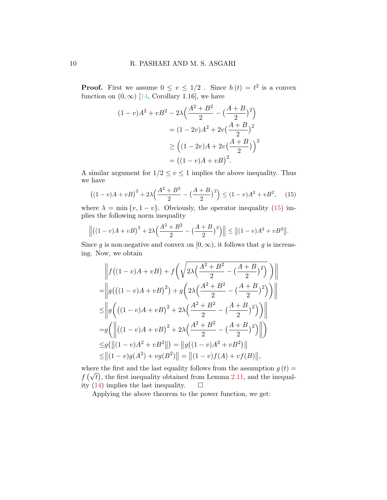**Proof.** First we assume  $0 \le v \le 1/2$ . Since  $h(t) = t^2$  is a convex function on  $(0, \infty)$  [\[14,](#page-11-4) Corollary 1.16], we have

$$
(1-v)A2 + vB2 - 2\lambda \left(\frac{A2 + B2}{2} - \left(\frac{A+B}{2}\right)2\right)
$$
  
=  $(1 - 2v)A2 + 2v\left(\frac{A+B}{2}\right)2$   

$$
\ge \left((1 - 2v)A + 2v\left(\frac{A+B}{2}\right)\right)2
$$
  
=  $((1 - v)A + vB)2$ .

A similar argument for  $1/2 \le v \le 1$  implies the above inequality. Thus we have

<span id="page-9-0"></span>
$$
((1-v)A + vB)^{2} + 2\lambda \left(\frac{A^{2} + B^{2}}{2} - \left(\frac{A+B}{2}\right)^{2}\right) \leq (1-v)A^{2} + vB^{2}, \quad (15)
$$

where  $\lambda = \min \{v, 1 - v\}$ . Obviously, the operator inequality [\(15\)](#page-9-0) implies the following norm inequality

$$
\left\| \left( (1-v)A + vB \right)^2 + 2\lambda \left( \frac{A^2 + B^2}{2} - \left( \frac{A+B}{2} \right)^2 \right) \right\| \le \left\| (1-v)A^2 + vB^2 \right\|.
$$

Since g is non-negative and convex on  $[0, \infty)$ , it follows that g is increasing. Now, we obtain

$$
\left\| f((1-v)A + vB) + f\left(\sqrt{2\lambda \left(\frac{A^2 + B^2}{2} - \left(\frac{A+B}{2}\right)^2\right)} \right) \right\|
$$
  
\n=
$$
\left\| g\left((1-v)A + vB\right)^2\right\| + g\left(2\lambda \left(\frac{A^2 + B^2}{2} - \left(\frac{A+B}{2}\right)^2\right) \right) \right\|
$$
  
\n
$$
\leq \left\| g\left((1-v)A + vB\right)^2 + 2\lambda \left(\frac{A^2 + B^2}{2} - \left(\frac{A+B}{2}\right)^2\right) \right) \right\|
$$
  
\n=
$$
g\left(\left\| \left((1-v)A + vB\right)^2 + 2\lambda \left(\frac{A^2 + B^2}{2} - \left(\frac{A+B}{2}\right)^2\right) \right\|
$$
  
\n
$$
\leq g(\left\| (1-v)A^2 + vB^2 \right\|) = \left\| g\left((1-v)A^2 + vB^2\right) \right\|
$$
  
\n
$$
\leq \left\| (1-v)g(A^2) + v g(B^2) \right\| = \left\| (1-v)f(A) + v f(B) \right\|,
$$

where the first and the last equality follows from the assumption  $g(t) =$ where the first and the fast equality obtained from Lemma [2.11,](#page-8-1) and the inequal-<br> $f(\sqrt{t})$ , the first inequality obtained from Lemma 2.11, and the inequality  $(14)$  implies the last inequality.  $\square$ 

Applying the above theorem to the power function, we get: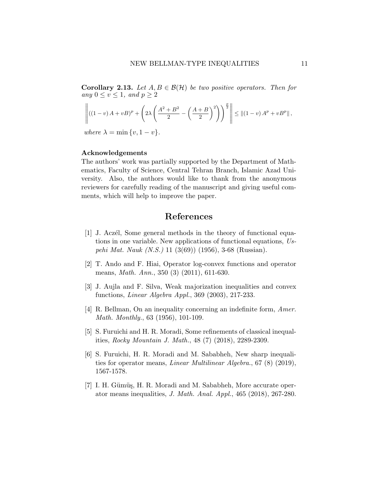**Corollary 2.13.** Let  $A, B \in \mathcal{B}(\mathcal{H})$  be two positive operators. Then for any  $0 \le v \le 1$ , and  $p \ge 2$ 

$$
\left\| ((1-v) A + v B)^p + \left( 2\lambda \left( \frac{A^2 + B^2}{2} - \left( \frac{A+B}{2} \right)^2 \right) \right)^{\frac{p}{2}} \right\| \leq ||(1-v) A^p + v B^p||,
$$

where  $\lambda = \min \{v, 1 - v\}.$ 

#### Acknowledgements

The authors' work was partially supported by the Department of Mathematics, Faculty of Science, Central Tehran Branch, Islamic Azad University. Also, the authors would like to thank from the anonymous reviewers for carefully reading of the manuscript and giving useful comments, which will help to improve the paper.

## References

- <span id="page-10-2"></span>[1] J. Aczél, Some general methods in the theory of functional equations in one variable. New applications of functional equations, Uspehi Mat. Nauk (N.S.) 11 (3(69)) (1956), 3-68 (Russian).
- <span id="page-10-5"></span>[2] T. Ando and F. Hiai, Operator log-convex functions and operator means, Math. Ann., 350 (3) (2011), 611-630.
- <span id="page-10-6"></span>[3] J. Aujla and F. Silva, Weak majorization inequalities and convex functions, Linear Algebra Appl., 369 (2003), 217-233.
- <span id="page-10-1"></span>[4] R. Bellman, On an inequality concerning an indefinite form, Amer. Math. Monthly., 63 (1956), 101-109.
- <span id="page-10-0"></span>[5] S. Furuichi and H. R. Moradi, Some refinements of classical inequalities, Rocky Mountain J. Math., 48 (7) (2018), 2289-2309.
- <span id="page-10-3"></span>[6] S. Furuichi, H. R. Moradi and M. Sababheh, New sharp inequalities for operator means, Linear Multilinear Algebra., 67 (8) (2019), 1567-1578.
- <span id="page-10-4"></span>[7] I. H. Gümüş, H. R. Moradi and M. Sababheh, More accurate operator means inequalities, J. Math. Anal. Appl., 465 (2018), 267-280.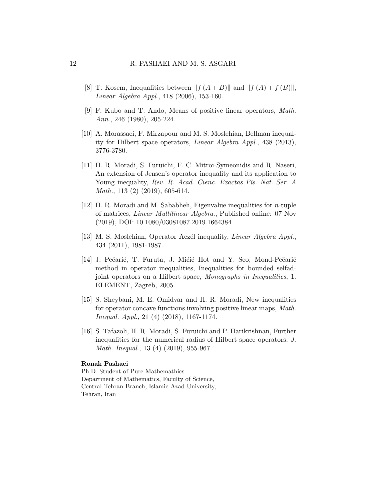- <span id="page-11-8"></span>[8] T. Kosem, Inequalities between  $|| f(A + B) ||$  and  $|| f(A) + f(B) ||$ , Linear Algebra Appl., 418 (2006), 153-160.
- <span id="page-11-0"></span>[9] F. Kubo and T. Ando, Means of positive linear operators, Math. Ann., 246 (1980), 205-224.
- <span id="page-11-2"></span>[10] A. Morassaei, F. Mirzapour and M. S. Moslehian, Bellman inequality for Hilbert space operators, Linear Algebra Appl., 438 (2013), 3776-3780.
- <span id="page-11-1"></span>[11] H. R. Moradi, S. Furuichi, F. C. Mitroi-Symeonidis and R. Naseri, An extension of Jensen's operator inequality and its application to Young inequality, Rev. R. Acad. Cienc. Exactas Fís. Nat. Ser. A Math., 113 (2) (2019), 605-614.
- <span id="page-11-6"></span>[12] H. R. Moradi and M. Sababheh, Eigenvalue inequalities for n-tuple of matrices, Linear Multilinear Algebra., Published online: 07 Nov (2019), DOI: 10.1080/03081087.2019.1664384
- <span id="page-11-5"></span>[13] M. S. Moslehian, Operator Aczél inequality, *Linear Algebra Appl.*, 434 (2011), 1981-1987.
- <span id="page-11-4"></span>[14] J. Pečarić, T. Furuta, J. Mićić Hot and Y. Seo, Mond-Pečarić method in operator inequalities, Inequalities for bounded selfadjoint operators on a Hilbert space, Monographs in Inequalities, 1. ELEMENT, Zagreb, 2005.
- <span id="page-11-3"></span>[15] S. Sheybani, M. E. Omidvar and H. R. Moradi, New inequalities for operator concave functions involving positive linear maps, Math. Inequal. Appl., 21 (4) (2018), 1167-1174.
- <span id="page-11-7"></span>[16] S. Tafazoli, H. R. Moradi, S. Furuichi and P. Harikrishnan, Further inequalities for the numerical radius of Hilbert space operators. J. Math. Inequal., 13 (4) (2019), 955-967.

#### Ronak Pashaei

Ph.D. Student of Pure Mathemathics Department of Mathematics, Faculty of Science, Central Tehran Branch, Islamic Azad University, Tehran, Iran